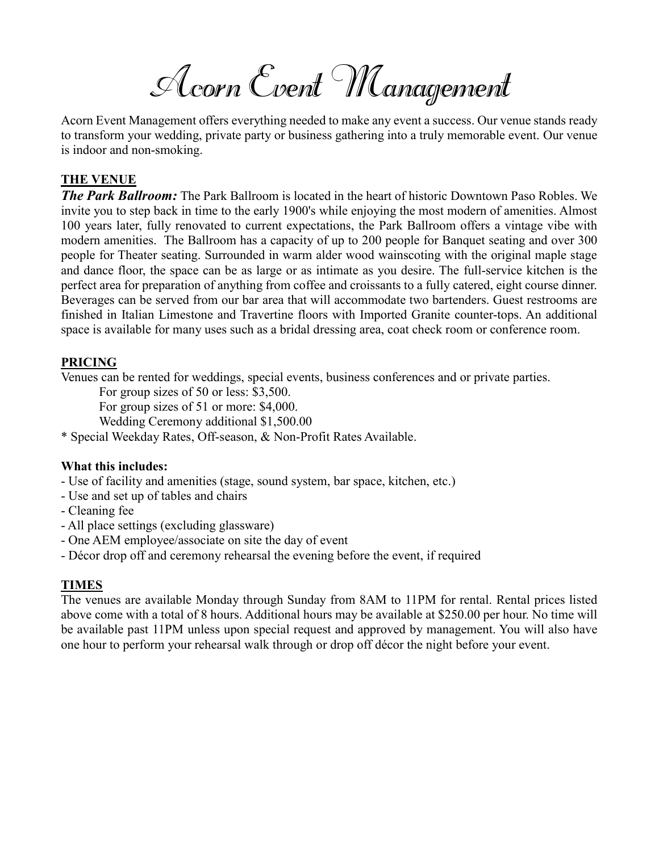Acorn Event Management

Acorn Event Management offers everything needed to make any event a success. Our venue stands ready to transform your wedding, private party or business gathering into a truly memorable event. Our venue is indoor and non-smoking.

# **THE VENUE**

*The Park Ballroom:* The Park Ballroom is located in the heart of historic Downtown Paso Robles. We invite you to step back in time to the early 1900's while enjoying the most modern of amenities. Almost 100 years later, fully renovated to current expectations, the Park Ballroom offers a vintage vibe with modern amenities. The Ballroom has a capacity of up to 200 people for Banquet seating and over 300 people for Theater seating. Surrounded in warm alder wood wainscoting with the original maple stage and dance floor, the space can be as large or as intimate as you desire. The full-service kitchen is the perfect area for preparation of anything from coffee and croissants to a fully catered, eight course dinner. Beverages can be served from our bar area that will accommodate two bartenders. Guest restrooms are finished in Italian Limestone and Travertine floors with Imported Granite counter-tops. An additional space is available for many uses such as a bridal dressing area, coat check room or conference room.

# **PRICING**

Venues can be rented for weddings, special events, business conferences and or private parties.

For group sizes of 50 or less: \$3,500.

For group sizes of 51 or more: \$4,000.

Wedding Ceremony additional \$1,500.00

\* Special Weekday Rates, Off-season, & Non-Profit Rates Available.

# **What this includes:**

- Use of facility and amenities (stage, sound system, bar space, kitchen, etc.)
- Use and set up of tables and chairs
- Cleaning fee
- All place settings (excluding glassware)
- One AEM employee/associate on site the day of event
- Décor drop off and ceremony rehearsal the evening before the event, if required

# **TIMES**

The venues are available Monday through Sunday from 8AM to 11PM for rental. Rental prices listed above come with a total of 8 hours. Additional hours may be available at \$250.00 per hour. No time will be available past 11PM unless upon special request and approved by management. You will also have one hour to perform your rehearsal walk through or drop off décor the night before your event.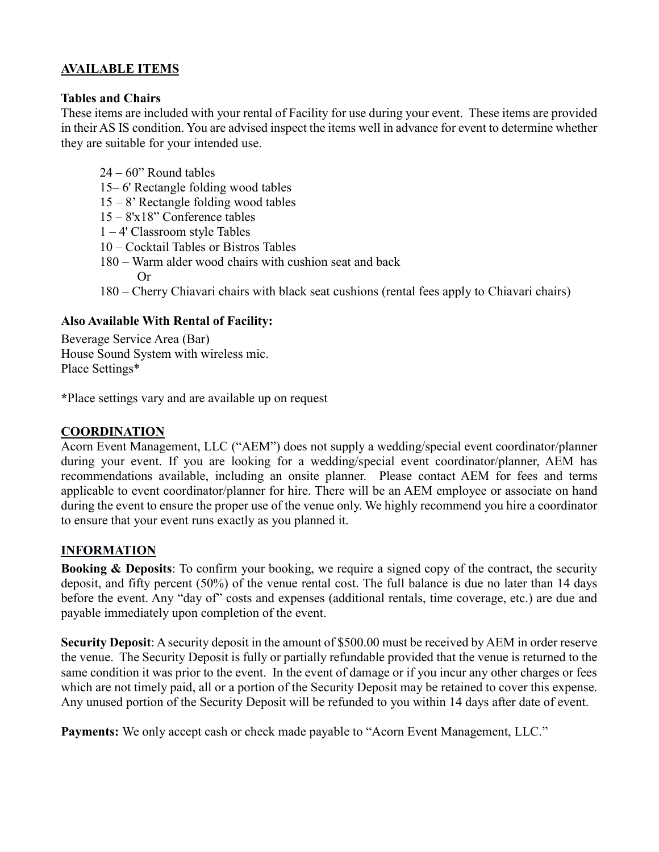# **AVAILABLE ITEMS**

#### **Tables and Chairs**

These items are included with your rental of Facility for use during your event. These items are provided in their AS IS condition. You are advised inspect the items well in advance for event to determine whether they are suitable for your intended use.

- 24 60" Round tables
- 15– 6' Rectangle folding wood tables
- 15 8' Rectangle folding wood tables
- 15 8'x18" Conference tables
- 1 4' Classroom style Tables
- 10 Cocktail Tables or Bistros Tables
- 180 Warm alder wood chairs with cushion seat and back Or
- 180 Cherry Chiavari chairs with black seat cushions (rental fees apply to Chiavari chairs)

# **Also Available With Rental of Facility:**

Beverage Service Area (Bar) House Sound System with wireless mic. Place Settings\*

**\***Place settings vary and are available up on request

#### **COORDINATION**

Acorn Event Management, LLC ("AEM") does not supply a wedding/special event coordinator/planner during your event. If you are looking for a wedding/special event coordinator/planner, AEM has recommendations available, including an onsite planner. Please contact AEM for fees and terms applicable to event coordinator/planner for hire. There will be an AEM employee or associate on hand during the event to ensure the proper use of the venue only. We highly recommend you hire a coordinator to ensure that your event runs exactly as you planned it.

# **INFORMATION**

**Booking & Deposits**: To confirm your booking, we require a signed copy of the contract, the security deposit, and fifty percent (50%) of the venue rental cost. The full balance is due no later than 14 days before the event. Any "day of" costs and expenses (additional rentals, time coverage, etc.) are due and payable immediately upon completion of the event.

**Security Deposit**: A security deposit in the amount of \$500.00 must be received by AEM in order reserve the venue. The Security Deposit is fully or partially refundable provided that the venue is returned to the same condition it was prior to the event. In the event of damage or if you incur any other charges or fees which are not timely paid, all or a portion of the Security Deposit may be retained to cover this expense. Any unused portion of the Security Deposit will be refunded to you within 14 days after date of event.

**Payments:** We only accept cash or check made payable to "Acorn Event Management, LLC."